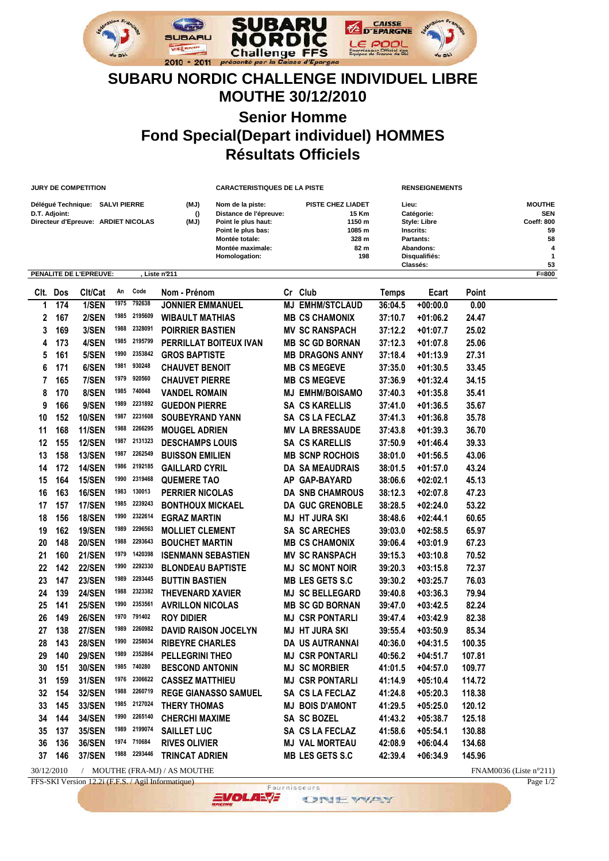

## **SUBARU NORDIC CHALLENGE INDIVIDUEL LIBRE MOUTHE 30/12/2010 Senior Homme Fond Special(Depart individuel) HOMMES Résultats Officiels**

|      |               | <b>JURY DE COMPETITION</b>                                             |      |         |                             | <b>CARACTERISTIQUES DE LA PISTE</b>                                                                                                            |    |                                                                               |                                                                                                         | <b>RENSEIGNEMENTS</b> |        |                                                                       |  |
|------|---------------|------------------------------------------------------------------------|------|---------|-----------------------------|------------------------------------------------------------------------------------------------------------------------------------------------|----|-------------------------------------------------------------------------------|---------------------------------------------------------------------------------------------------------|-----------------------|--------|-----------------------------------------------------------------------|--|
|      | D.T. Adjoint: | Délégué Technique: SALVI PIERRE<br>Directeur d'Epreuve: ARDIET NICOLAS |      |         | (MJ)<br>$\theta$<br>(MJ)    | Nom de la piste:<br>Distance de l'épreuve:<br>Point le plus haut:<br>Point le plus bas:<br>Montée totale:<br>Montée maximale:<br>Homologation: |    | <b>PISTE CHEZ LIADET</b><br>15 Km<br>1150 m<br>1085 m<br>328 m<br>82 m<br>198 | Lieu:<br>Catégorie:<br>Style: Libre<br>Inscrits:<br>Partants:<br>Abandons:<br>Disqualifiés:<br>Classés: |                       |        | <b>MOUTHE</b><br><b>SEN</b><br>Coeff: 800<br>59<br>58<br>4<br>1<br>53 |  |
|      |               | PENALITE DE L'EPREUVE:                                                 |      |         | Liste n'211                 |                                                                                                                                                |    |                                                                               |                                                                                                         |                       |        | $F=800$                                                               |  |
| Clt. | Dos           | Clt/Cat                                                                | An   | Code    | Nom - Prénom                |                                                                                                                                                | Cr | <b>Club</b>                                                                   | Temps                                                                                                   | Ecart                 | Point  |                                                                       |  |
| 1    | 174           | 1/SEN                                                                  | 1975 | 792638  | <b>JONNIER EMMANUEL</b>     |                                                                                                                                                |    | <b>MJ EMHM/STCLAUD</b>                                                        | 36:04.5                                                                                                 | $+00:00.0$            | 0.00   |                                                                       |  |
| 2    | 167           | 2/SEN                                                                  | 1985 | 2195609 | <b>WIBAULT MATHIAS</b>      |                                                                                                                                                |    | <b>MB CS CHAMONIX</b>                                                         | 37:10.7                                                                                                 | $+01:06.2$            | 24.47  |                                                                       |  |
| 3    | 169           | 3/SEN                                                                  | 1988 | 2328091 | <b>POIRRIER BASTIEN</b>     |                                                                                                                                                |    | <b>MV SC RANSPACH</b>                                                         | 37:12.2                                                                                                 | $+01:07.7$            | 25.02  |                                                                       |  |
| 4    | 173           | 4/SEN                                                                  | 1985 | 2195799 | PERRILLAT BOITEUX IVAN      |                                                                                                                                                |    | <b>MB SC GD BORNAN</b>                                                        | 37:12.3                                                                                                 | $+01:07.8$            | 25.06  |                                                                       |  |
| 5    | 161           | 5/SEN                                                                  | 1990 | 2353842 | <b>GROS BAPTISTE</b>        |                                                                                                                                                |    | <b>MB DRAGONS ANNY</b>                                                        | 37:18.4                                                                                                 | $+01:13.9$            | 27.31  |                                                                       |  |
| 6    | 171           | 6/SEN                                                                  | 1981 | 930248  | <b>CHAUVET BENOIT</b>       |                                                                                                                                                |    | <b>MB CS MEGEVE</b>                                                           | 37:35.0                                                                                                 | $+01:30.5$            | 33.45  |                                                                       |  |
| 7    | 165           | 7/SEN                                                                  | 1979 | 920560  | <b>CHAUVET PIERRE</b>       |                                                                                                                                                |    | <b>MB CS MEGEVE</b>                                                           | 37:36.9                                                                                                 | $+01:32.4$            | 34.15  |                                                                       |  |
| 8    | 170           | 8/SEN                                                                  | 1985 | 740048  | <b>VANDEL ROMAIN</b>        |                                                                                                                                                |    | <b>MJ EMHM/BOISAMO</b>                                                        | 37:40.3                                                                                                 | $+01:35.8$            | 35.41  |                                                                       |  |
| 9    | 166           | 9/SEN                                                                  | 1989 | 2231892 | <b>GUEDON PIERRE</b>        |                                                                                                                                                |    | <b>SA CS KARELLIS</b>                                                         | 37:41.0                                                                                                 | $+01:36.5$            | 35.67  |                                                                       |  |
| 10   | 152           | <b>10/SEN</b>                                                          | 1987 | 2231608 | <b>SOUBEYRAND YANN</b>      |                                                                                                                                                |    | SA CS LA FECLAZ                                                               | 37:41.3                                                                                                 | $+01:36.8$            | 35.78  |                                                                       |  |
| 11   | 168           | <b>11/SEN</b>                                                          | 1988 | 2266295 | <b>MOUGEL ADRIEN</b>        |                                                                                                                                                |    | <b>MV LA BRESSAUDE</b>                                                        | 37:43.8                                                                                                 | $+01:39.3$            | 36.70  |                                                                       |  |
| 12   | 155           | <b>12/SEN</b>                                                          | 1987 | 2131323 | <b>DESCHAMPS LOUIS</b>      |                                                                                                                                                |    | <b>SA CS KARELLIS</b>                                                         | 37:50.9                                                                                                 | $+01:46.4$            | 39.33  |                                                                       |  |
| 13   | 158           | <b>13/SEN</b>                                                          | 1987 | 2262549 | <b>BUISSON EMILIEN</b>      |                                                                                                                                                |    | <b>MB SCNP ROCHOIS</b>                                                        | 38:01.0                                                                                                 | $+01:56.5$            | 43.06  |                                                                       |  |
| 14   | 172           | <b>14/SEN</b>                                                          | 1986 | 2192185 | <b>GAILLARD CYRIL</b>       |                                                                                                                                                |    | <b>DA SA MEAUDRAIS</b>                                                        | 38:01.5                                                                                                 | $+01:57.0$            | 43.24  |                                                                       |  |
| 15   | 164           | <b>15/SEN</b>                                                          | 1990 | 2319468 | <b>QUEMERE TAO</b>          |                                                                                                                                                |    | AP GAP-BAYARD                                                                 | 38:06.6                                                                                                 | $+02:02.1$            | 45.13  |                                                                       |  |
| 16   | 163           | <b>16/SEN</b>                                                          | 1983 | 130013  | <b>PERRIER NICOLAS</b>      |                                                                                                                                                |    | <b>DA SNB CHAMROUS</b>                                                        | 38:12.3                                                                                                 | $+02:07.8$            | 47.23  |                                                                       |  |
| 17   | 157           | <b>17/SEN</b>                                                          | 1985 | 2239243 | <b>BONTHOUX MICKAEL</b>     |                                                                                                                                                |    | <b>DA GUC GRENOBLE</b>                                                        | 38:28.5                                                                                                 | $+02:24.0$            | 53.22  |                                                                       |  |
| 18   | 156           | <b>18/SEN</b>                                                          | 1990 | 2322614 | <b>EGRAZ MARTIN</b>         |                                                                                                                                                |    | <b>MJ HT JURA SKI</b>                                                         | 38:48.6                                                                                                 | $+02:44.1$            | 60.65  |                                                                       |  |
| 19   | 162           | <b>19/SEN</b>                                                          | 1989 | 2296563 | <b>MOLLIET CLEMENT</b>      |                                                                                                                                                |    | <b>SA SC ARECHES</b>                                                          | 39:03.0                                                                                                 | $+02:58.5$            | 65.97  |                                                                       |  |
| 20   | 148           | <b>20/SEN</b>                                                          | 1988 | 2293643 | <b>BOUCHET MARTIN</b>       |                                                                                                                                                |    | <b>MB CS CHAMONIX</b>                                                         | 39:06.4                                                                                                 | $+03:01.9$            | 67.23  |                                                                       |  |
| 21   | 160           | <b>21/SEN</b>                                                          | 1979 | 1420398 | <b>ISENMANN SEBASTIEN</b>   |                                                                                                                                                |    | <b>MV SC RANSPACH</b>                                                         | 39:15.3                                                                                                 | $+03:10.8$            | 70.52  |                                                                       |  |
| 22   | 142           | <b>22/SEN</b>                                                          | 1990 | 2292330 | <b>BLONDEAU BAPTISTE</b>    |                                                                                                                                                |    | <b>MJ SC MONT NOIR</b>                                                        | 39:20.3                                                                                                 | $+03:15.8$            | 72.37  |                                                                       |  |
| 23   | 147           | <b>23/SEN</b>                                                          | 1989 | 2293445 | <b>BUTTIN BASTIEN</b>       |                                                                                                                                                |    | <b>MB LES GETS S.C</b>                                                        | 39:30.2                                                                                                 | $+03:25.7$            | 76.03  |                                                                       |  |
| 24   | 139           | <b>24/SEN</b>                                                          | 1988 | 2323382 | <b>THEVENARD XAVIER</b>     |                                                                                                                                                |    | <b>MJ SC BELLEGARD</b>                                                        | 39:40.8                                                                                                 | $+03:36.3$            | 79.94  |                                                                       |  |
| 25   | 141           | <b>25/SEN</b>                                                          | 1990 | 2353561 | <b>AVRILLON NICOLAS</b>     |                                                                                                                                                |    | <b>MB SC GD BORNAN</b>                                                        | 39:47.0                                                                                                 | $+03:42.5$            | 82.24  |                                                                       |  |
| 26   | 149           | <b>26/SEN</b>                                                          | 1970 | 791402  | <b>ROY DIDIER</b>           |                                                                                                                                                |    | <b>MJ CSR PONTARLI</b>                                                        | 39:47.4                                                                                                 | $+03:42.9$            | 82.38  |                                                                       |  |
| 27   | 138           | <b>27/SEN</b>                                                          | 1989 | 2260982 | <b>DAVID RAISON JOCELYN</b> |                                                                                                                                                |    | <b>MJ HT JURA SKI</b>                                                         | 39:55.4                                                                                                 | +03:50.9              | 85.34  |                                                                       |  |
| 28   | 143           | <b>28/SEN</b>                                                          | 1990 | 2258034 | <b>RIBEYRE CHARLES</b>      |                                                                                                                                                |    | DA US AUTRANNAI                                                               | 40:36.0                                                                                                 | $+04:31.5$            | 100.35 |                                                                       |  |
| 29   | 140           | <b>29/SEN</b>                                                          | 1989 | 2352864 | <b>PELLEGRINI THEO</b>      |                                                                                                                                                |    | <b>MJ CSR PONTARLI</b>                                                        | 40:56.2                                                                                                 | $+04:51.7$            | 107.81 |                                                                       |  |
| 30   | 151           | <b>30/SEN</b>                                                          | 1985 | 740280  | <b>BESCOND ANTONIN</b>      |                                                                                                                                                |    | <b>MJ SC MORBIER</b>                                                          | 41:01.5                                                                                                 | $+04:57.0$            | 109.77 |                                                                       |  |
| 31   | 159           | <b>31/SEN</b>                                                          | 1976 | 2306622 | <b>CASSEZ MATTHIEU</b>      |                                                                                                                                                |    | <b>MJ CSR PONTARLI</b>                                                        | 41:14.9                                                                                                 | $+05:10.4$            | 114.72 |                                                                       |  |
| 32   | 154           | <b>32/SEN</b>                                                          | 1988 | 2260719 | <b>REGE GIANASSO SAMUEL</b> |                                                                                                                                                |    | SA CS LA FECLAZ                                                               | 41:24.8                                                                                                 | $+05:20.3$            | 118.38 |                                                                       |  |
| 33   | 145           | 33/SEN                                                                 | 1985 | 2127024 | THERY THOMAS                |                                                                                                                                                |    | <b>MJ BOIS D'AMONT</b>                                                        | 41:29.5                                                                                                 | $+05:25.0$            | 120.12 |                                                                       |  |
| 34   | 144           | <b>34/SEN</b>                                                          | 1990 | 2265140 | <b>CHERCHI MAXIME</b>       |                                                                                                                                                |    | SA SC BOZEL                                                                   | 41:43.2                                                                                                 | $+05:38.7$            | 125.18 |                                                                       |  |
| 35   | 137           | <b>35/SEN</b>                                                          | 1989 | 2199074 | <b>SAILLET LUC</b>          |                                                                                                                                                |    | SA CS LA FECLAZ                                                               | 41:58.6                                                                                                 | $+05:54.1$            | 130.88 |                                                                       |  |
| 36   | 136           | <b>36/SEN</b>                                                          | 1974 | 710684  | <b>RIVES OLIVIER</b>        |                                                                                                                                                |    | <b>MJ VAL MORTEAU</b>                                                         | 42:08.9                                                                                                 | $+06:04.4$            | 134.68 |                                                                       |  |
| 37   | 146           | <b>37/SEN</b>                                                          | 1988 | 2293446 | <b>TRINCAT ADRIEN</b>       |                                                                                                                                                |    | <b>MB LES GETS S.C</b>                                                        | 42:39.4                                                                                                 | $+06:34.9$            | 145.96 |                                                                       |  |
|      |               |                                                                        |      |         |                             |                                                                                                                                                |    |                                                                               |                                                                                                         |                       |        |                                                                       |  |

30/12/2010 / MOUTHE (FRA-MJ) / AS MOUTHE **FRAMOUTHE** FRAMO036 (Liste n°211)<br>FFS-SKI Version 12.2i (F.F.S. / Agil Informatique) **FRAMOUTHE** Page 1/2